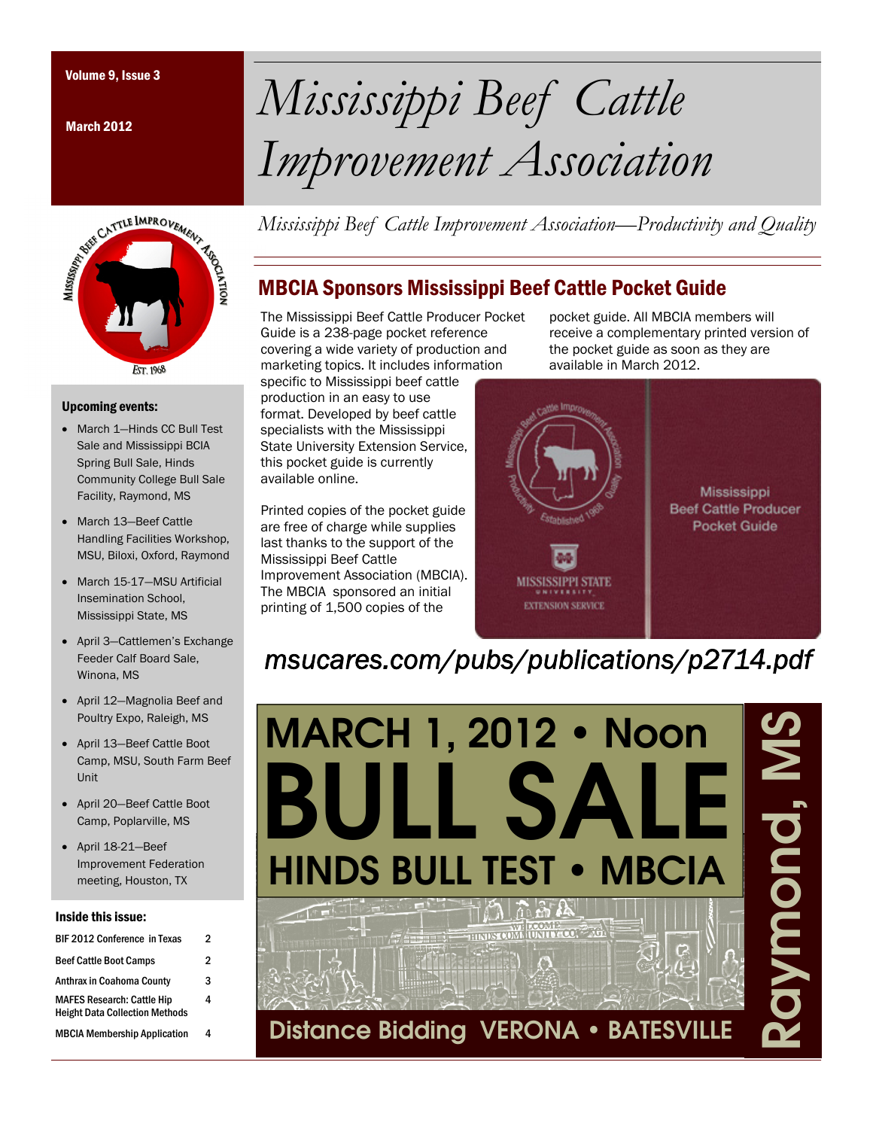March 2012



#### Upcoming events:

- March 1-Hinds CC Bull Test Sale and Mississippi BCIA Spring Bull Sale, Hinds Community College Bull Sale Facility, Raymond, MS
- March 13-Beef Cattle Handling Facilities Workshop, MSU, Biloxi, Oxford, Raymond
- March 15-17-MSU Artificial Insemination School, Mississippi State, MS
- April 3—Cattlemen's Exchange Feeder Calf Board Sale, Winona, MS
- April 12—Magnolia Beef and Poultry Expo, Raleigh, MS
- April 13—Beef Cattle Boot Camp, MSU, South Farm Beef Unit
- April 20—Beef Cattle Boot Camp, Poplarville, MS
- April 18-21—Beef Improvement Federation meeting, Houston, TX

#### Inside this issue:

| <b>BIF 2012 Conference in Texas</b>                                        | 2 |
|----------------------------------------------------------------------------|---|
| <b>Beef Cattle Boot Camps</b>                                              | 2 |
| <b>Anthrax in Coahoma County</b>                                           | 3 |
| <b>MAFES Research: Cattle Hip</b><br><b>Height Data Collection Methods</b> | 4 |
| <b>MBCIA Membership Application</b>                                        |   |

# Volume 9, Issue 3 *Mississippi Beef Cattle Improvement Association*

*Mississippi Beef Cattle Improvement Association—Productivity and Quality* 

## MBCIA Sponsors Mississippi Beef Cattle Pocket Guide

The Mississippi Beef Cattle Producer Pocket Guide is a 238-page pocket reference covering a wide variety of production and marketing topics. It includes information specific to Mississippi beef cattle production in an easy to use

format. Developed by beef cattle specialists with the Mississippi State University Extension Service, this pocket guide is currently available online.

Printed copies of the pocket guide are free of charge while supplies last thanks to the support of the Mississippi Beef Cattle Improvement Association (MBCIA). The MBCIA sponsored an initial printing of 1,500 copies of the

pocket guide. All MBCIA members will receive a complementary printed version of the pocket guide as soon as they are available in March 2012.



# *msucares.com/pubs/publications/p2714.pdf*

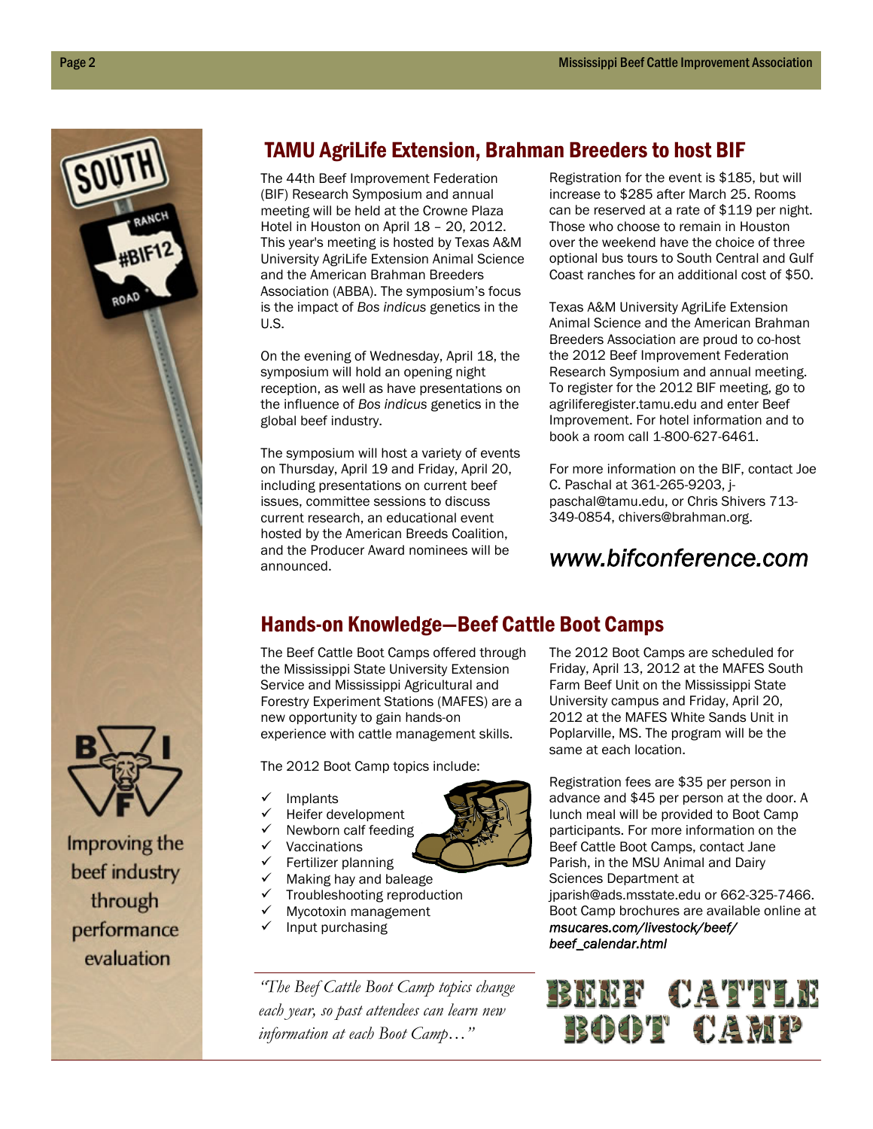

beef industry through performance evaluation

# TAMU AgriLife Extension, Brahman Breeders to host BIF

The 44th Beef Improvement Federation (BIF) Research Symposium and annual meeting will be held at the Crowne Plaza Hotel in Houston on April 18 – 20, 2012. This year's meeting is hosted by Texas A&M University AgriLife Extension Animal Science and the American Brahman Breeders Association (ABBA). The symposium's focus is the impact of *Bos indicus* genetics in the U.S.

On the evening of Wednesday, April 18, the symposium will hold an opening night reception, as well as have presentations on the influence of *Bos indicus* genetics in the global beef industry.

The symposium will host a variety of events on Thursday, April 19 and Friday, April 20, including presentations on current beef issues, committee sessions to discuss current research, an educational event hosted by the American Breeds Coalition, and the Producer Award nominees will be announced.

Registration for the event is \$185, but will increase to \$285 after March 25. Rooms can be reserved at a rate of \$119 per night. Those who choose to remain in Houston over the weekend have the choice of three optional bus tours to South Central and Gulf Coast ranches for an additional cost of \$50.

Texas A&M University AgriLife Extension Animal Science and the American Brahman Breeders Association are proud to co-host the 2012 Beef Improvement Federation Research Symposium and annual meeting. To register for the 2012 BIF meeting, go to agriliferegister.tamu.edu and enter Beef Improvement. For hotel information and to book a room call 1-800-627-6461.

For more information on the BIF, contact Joe C. Paschal at 361-265-9203, jpaschal@tamu.edu, or Chris Shivers 713- 349-0854, chivers@brahman.org.

# *www.bifconference.com*

# Hands-on Knowledge—Beef Cattle Boot Camps

The Beef Cattle Boot Camps offered through the Mississippi State University Extension Service and Mississippi Agricultural and Forestry Experiment Stations (MAFES) are a new opportunity to gain hands-on experience with cattle management skills.

The 2012 Boot Camp topics include:

- Implants
- Heifer development
- Newborn calf feeding
- Vaccinations
- Fertilizer planning
- $\checkmark$  Making hay and baleage
- $\checkmark$  Troubleshooting reproduction
- $\checkmark$  Mycotoxin management  $\checkmark$  Input purchasing
- 

*"The Beef Cattle Boot Camp topics change each year, so past attendees can learn new information at each Boot Camp…"* 

The 2012 Boot Camps are scheduled for Friday, April 13, 2012 at the MAFES South Farm Beef Unit on the Mississippi State University campus and Friday, April 20, 2012 at the MAFES White Sands Unit in Poplarville, MS. The program will be the same at each location.

Registration fees are \$35 per person in advance and \$45 per person at the door. A lunch meal will be provided to Boot Camp participants. For more information on the Beef Cattle Boot Camps, contact Jane Parish, in the MSU Animal and Dairy Sciences Department at jparish@ads.msstate.edu or 662-325-7466. Boot Camp brochures are available online at *msucares.com/livestock/beef/ beef\_calendar.html*



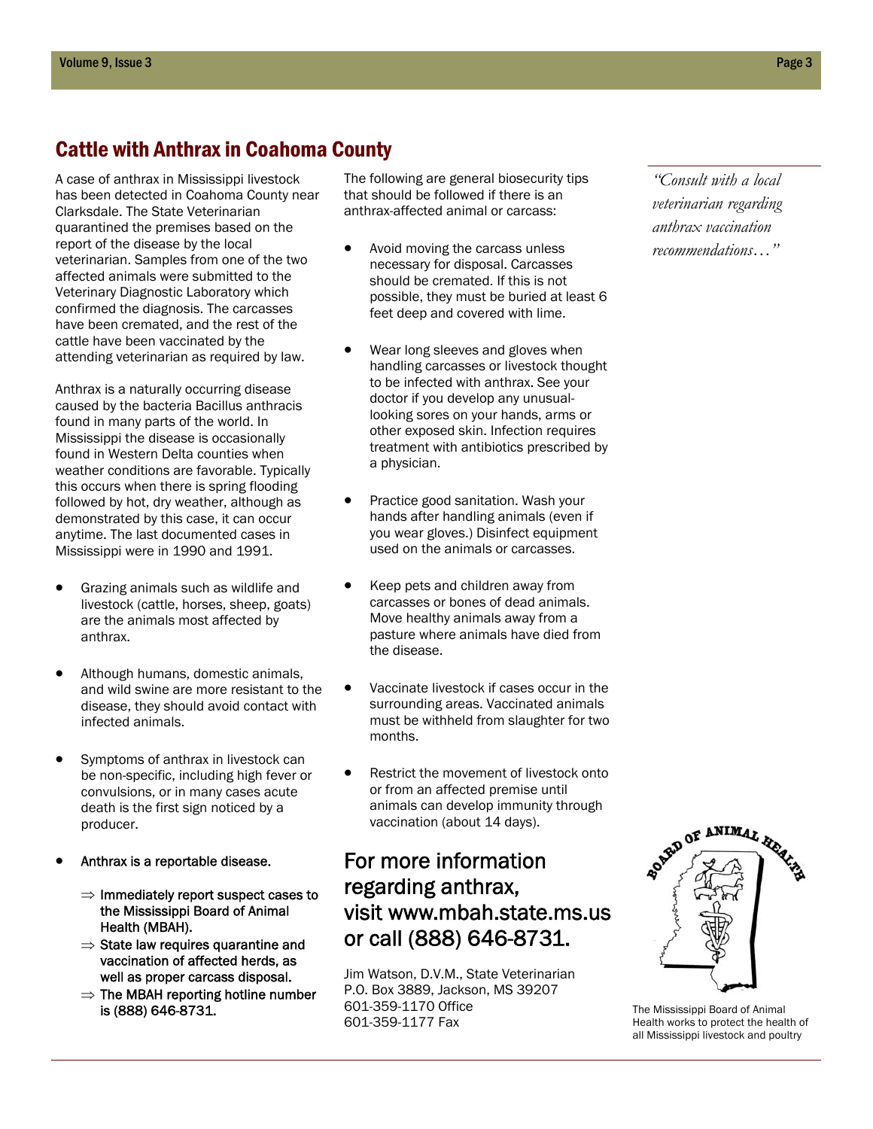## Cattle with Anthrax in Coahoma County

A case of anthrax in Mississippi livestock has been detected in Coahoma County near Clarksdale. The State Veterinarian quarantined the premises based on the report of the disease by the local veterinarian. Samples from one of the two affected animals were submitted to the Veterinary Diagnostic Laboratory which confirmed the diagnosis. The carcasses have been cremated, and the rest of the cattle have been vaccinated by the attending veterinarian as required by law.

Anthrax is a naturally occurring disease caused by the bacteria Bacillus anthracis found in many parts of the world. In Mississippi the disease is occasionally found in Western Delta counties when weather conditions are favorable. Typically this occurs when there is spring flooding followed by hot, dry weather, although as demonstrated by this case, it can occur anytime. The last documented cases in Mississippi were in 1990 and 1991.

- Grazing animals such as wildlife and livestock (cattle, horses, sheep, goats) are the animals most affected by anthrax.
- Although humans, domestic animals, and wild swine are more resistant to the disease, they should avoid contact with infected animals.
- Symptoms of anthrax in livestock can be non-specific, including high fever or convulsions, or in many cases acute death is the first sign noticed by a producer.
- Anthrax is a reportable disease.
	- $\Rightarrow$  Immediately report suspect cases to the Mississippi Board of Animal Health (MBAH).
	- $\Rightarrow$  State law requires quarantine and vaccination of affected herds, as well as proper carcass disposal.
	- $\Rightarrow$  The MBAH reporting hotline number is (888) 646-8731.

The following are general biosecurity tips that should be followed if there is an anthrax-affected animal or carcass:

- Avoid moving the carcass unless necessary for disposal. Carcasses should be cremated. If this is not possible, they must be buried at least 6 feet deep and covered with lime.
- Wear long sleeves and gloves when handling carcasses or livestock thought to be infected with anthrax. See your doctor if you develop any unusuallooking sores on your hands, arms or other exposed skin. Infection requires treatment with antibiotics prescribed by a physician.
- Practice good sanitation. Wash your hands after handling animals (even if you wear gloves.) Disinfect equipment used on the animals or carcasses.
- Keep pets and children away from carcasses or bones of dead animals. Move healthy animals away from a pasture where animals have died from the disease.
- Vaccinate livestock if cases occur in the surrounding areas. Vaccinated animals must be withheld from slaughter for two months.
- Restrict the movement of livestock onto or from an affected premise until animals can develop immunity through vaccination (about 14 days).

# For more information regarding anthrax, visit www.mbah.state.ms.us or call (888) 646-8731.

Jim Watson, D.V.M., State Veterinarian P.O. Box 3889, Jackson, MS 39207 601-359-1170 Office 601-359-1177 Fax

*"Consult with a local veterinarian regarding anthrax vaccination recommendations…"* 



The Mississippi Board of Animal Health works to protect the health of all Mississippi livestock and poultry